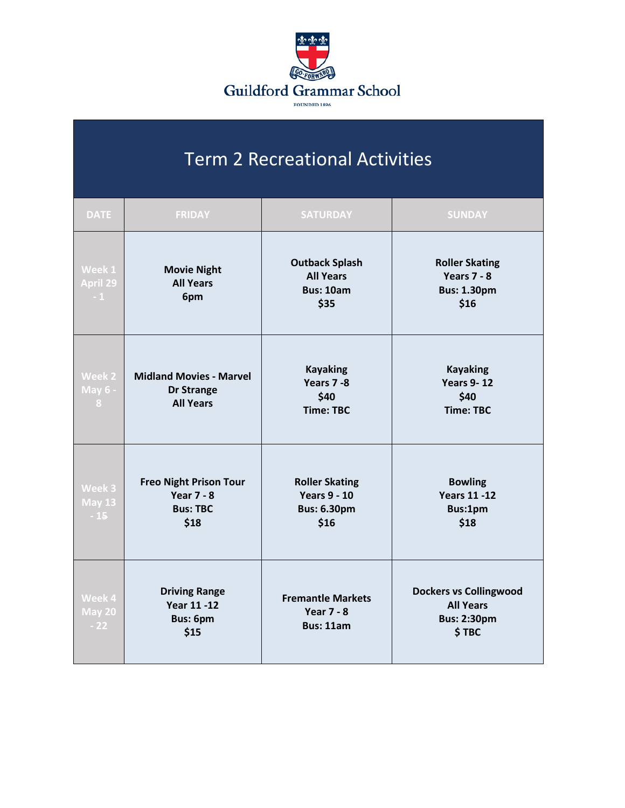

## Term 2 Recreational Activities

| <b>DATE</b>                      | <b>FRIDAY</b>                                                                 | <b>SATURDAY</b>                                                            | <b>SUNDAY</b>                                                                    |
|----------------------------------|-------------------------------------------------------------------------------|----------------------------------------------------------------------------|----------------------------------------------------------------------------------|
| Week 1<br>April 29<br>$-1$       | <b>Movie Night</b><br><b>All Years</b><br>6pm                                 | <b>Outback Splash</b><br><b>All Years</b><br><b>Bus: 10am</b><br>\$35      | <b>Roller Skating</b><br>Years $7 - 8$<br><b>Bus: 1.30pm</b><br>\$16             |
| Week 2<br><b>May 6 -</b><br>8    | <b>Midland Movies - Marvel</b><br><b>Dr Strange</b><br><b>All Years</b>       | <b>Kayaking</b><br>Years 7-8<br>\$40<br><b>Time: TBC</b>                   | <b>Kayaking</b><br><b>Years 9-12</b><br>\$40<br><b>Time: TBC</b>                 |
| Week 3<br><b>May 13</b><br>$-15$ | <b>Freo Night Prison Tour</b><br><b>Year 7 - 8</b><br><b>Bus: TBC</b><br>\$18 | <b>Roller Skating</b><br><b>Years 9 - 10</b><br><b>Bus: 6.30pm</b><br>\$16 | <b>Bowling</b><br><b>Years 11 -12</b><br>Bus:1pm<br>\$18                         |
| Week 4<br><b>May 20</b><br>$-22$ | <b>Driving Range</b><br><b>Year 11 -12</b><br><b>Bus: 6pm</b><br>\$15         | <b>Fremantle Markets</b><br><b>Year 7 - 8</b><br><b>Bus: 11am</b>          | <b>Dockers vs Collingwood</b><br><b>All Years</b><br><b>Bus: 2:30pm</b><br>\$TBC |